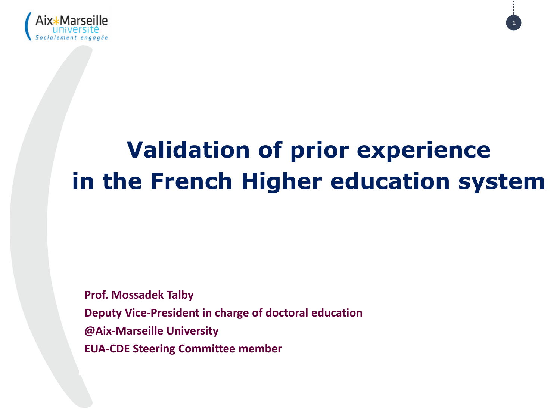

# **Validation of prior experience in the French Higher education system**

**1**

**Prof. Mossadek Talby Deputy Vice-President in charge of doctoral education @Aix-Marseille University EUA-CDE Steering Committee member**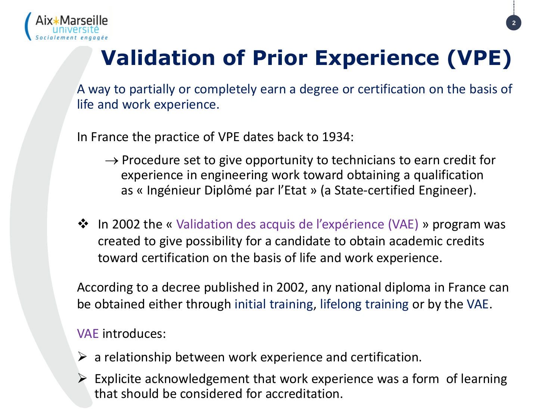

# **Validation of Prior Experience (VPE)**

A way to partially or completely earn a degree or certification on the basis of life and work experience.

In France the practice of VPE dates back to 1934:

- $\rightarrow$  Procedure set to give opportunity to technicians to earn credit for experience in engineering work toward obtaining a qualification as « Ingénieur Diplômé par l'Etat » (a State-certified Engineer).
- ❖ In 2002 the « Validation des acquis de l'expérience (VAE) » program was created to give possibility for a candidate to obtain academic credits toward certification on the basis of life and work experience.

According to a decree published in 2002, any national diploma in France can be obtained either through initial training, lifelong training or by the VAE.

#### VAE introduces:

- $\triangleright$  a relationship between work experience and certification.
- $\triangleright$  Explicite acknowledgement that work experience was a form of learning that should be considered for accreditation.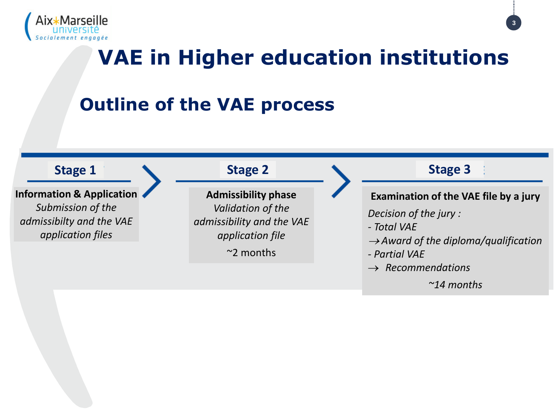

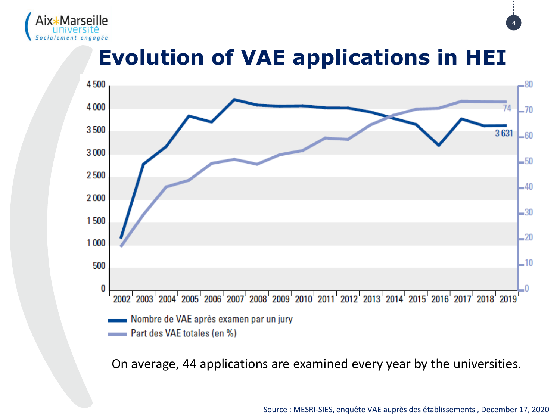

## **Evolution of VAE applications in HEI**



On average, 44 applications are examined every year by the universities.

Source : MESRI-SIES, enquête VAE auprès des établissements , December 17, 2020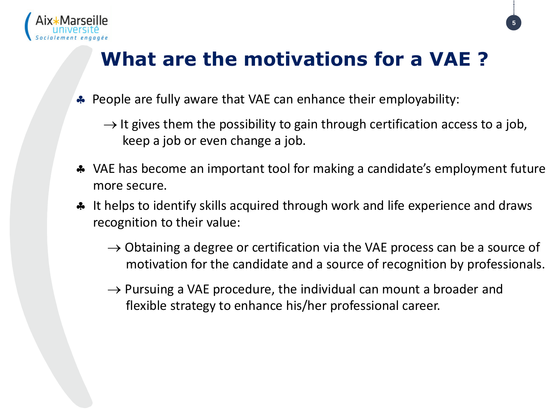

## **What are the motivations for a VAE ?**

- **People are fully aware that VAE can enhance their employability:** 
	- $\rightarrow$  It gives them the possibility to gain through certification access to a job, keep a job or even change a job.
- VAE has become an important tool for making a candidate's employment future more secure.
- **A** It helps to identify skills acquired through work and life experience and draws recognition to their value:
	- $\rightarrow$  Obtaining a degree or certification via the VAE process can be a source of motivation for the candidate and a source of recognition by professionals.
	- $\rightarrow$  Pursuing a VAE procedure, the individual can mount a broader and flexible strategy to enhance his/her professional career.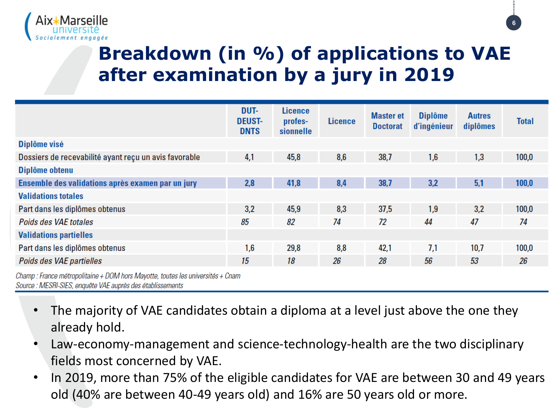



### **Breakdown (in %) of applications to VAE after examination by a jury in 2019**

|                                                       | DUT-<br><b>DEUST-</b><br><b>DNTS</b> | <b>Licence</b><br>profes-<br>sionnelle | <b>Licence</b> | <b>Master et</b><br><b>Doctorat</b> | <b>Diplôme</b><br>d'ingénieur | <b>Autres</b><br>diplômes | <b>Total</b> |
|-------------------------------------------------------|--------------------------------------|----------------------------------------|----------------|-------------------------------------|-------------------------------|---------------------------|--------------|
| Diplôme visé                                          |                                      |                                        |                |                                     |                               |                           |              |
| Dossiers de recevabilité ayant reçu un avis favorable | 4,1                                  | 45,8                                   | 8,6            | 38,7                                | 1,6                           | 1,3                       | 100,0        |
| Diplôme obtenu                                        |                                      |                                        |                |                                     |                               |                           |              |
| Ensemble des validations après examen par un jury     | 2,8                                  | 41,8                                   | 8,4            | 38,7                                | 3,2                           | 5,1                       | 100,0        |
| <b>Validations totales</b>                            |                                      |                                        |                |                                     |                               |                           |              |
| Part dans les diplômes obtenus                        | 3,2                                  | 45,9                                   | 8,3            | 37,5                                | 1,9                           | 3,2                       | 100,0        |
| Poids des VAE totales                                 | 85                                   | 82                                     | 74             | 72                                  | 44                            | 47                        | 74           |
| <b>Validations partielles</b>                         |                                      |                                        |                |                                     |                               |                           |              |
| Part dans les diplômes obtenus                        | 1,6                                  | 29,8                                   | 8,8            | 42,1                                | 7,1                           | 10,7                      | 100,0        |
| Poids des VAE partielles                              | 15                                   | 18                                     | 26             | 28                                  | 56                            | 53                        | 26           |

Champ : France métropolitaine + DOM hors Mayotte, toutes les universités + Cnam Source : MESRI-SIES, enquête VAE auprès des établissements

- The majority of VAE candidates obtain a diploma at a level just above the one they already hold.
- Law-economy-management and science-technology-health are the two disciplinary fields most concerned by VAE.
- In 2019, more than 75% of the eligible candidates for VAE are between 30 and 49 years old (40% are between 40-49 years old) and 16% are 50 years old or more.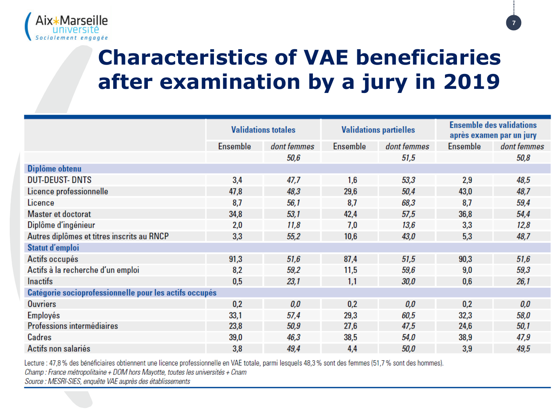

# **Characteristics of VAE beneficiaries after examination by a jury in 2019**

|                                                        | <b>Validations totales</b> |             | <b>Validations partielles</b> |             | <b>Ensemble des validations</b><br>après examen par un jury |             |  |  |  |  |  |  |  |
|--------------------------------------------------------|----------------------------|-------------|-------------------------------|-------------|-------------------------------------------------------------|-------------|--|--|--|--|--|--|--|
|                                                        | <b>Ensemble</b>            | dont femmes | <b>Ensemble</b>               | dont femmes | Ensemble                                                    | dont femmes |  |  |  |  |  |  |  |
|                                                        |                            | 50,6        |                               | 51,5        |                                                             | 50,8        |  |  |  |  |  |  |  |
| Diplôme obtenu                                         |                            |             |                               |             |                                                             |             |  |  |  |  |  |  |  |
| <b>DUT-DEUST-DNTS</b>                                  | 3,4                        | 47,7        | 1,6                           | 53,3        | 2,9                                                         | 48,5        |  |  |  |  |  |  |  |
| Licence professionnelle                                | 47,8                       | 48,3        | 29,6                          | 50,4        | 43,0                                                        | 48,7        |  |  |  |  |  |  |  |
| Licence                                                | 8,7                        | 56,1        | 8,7                           | 68,3        | 8,7                                                         | 59,4        |  |  |  |  |  |  |  |
| Master et doctorat                                     | 34,8                       | 53,1        | 42,4                          | 57,5        | 36,8                                                        | 54,4        |  |  |  |  |  |  |  |
| Diplôme d'ingénieur                                    | 2,0                        | 11,8        | 7,0                           | 13,6        | 3,3                                                         | 12,8        |  |  |  |  |  |  |  |
| Autres diplômes et titres inscrits au RNCP             | 3,3                        | 55,2        | 10,6                          | 43,0        | 5,3                                                         | 48,7        |  |  |  |  |  |  |  |
| Statut d'emploi                                        |                            |             |                               |             |                                                             |             |  |  |  |  |  |  |  |
| Actifs occupés                                         | 91,3                       | 51,6        | 87,4                          | 51,5        | 90,3                                                        | 51,6        |  |  |  |  |  |  |  |
| Actifs à la recherche d'un emploi                      | 8,2                        | 59,2        | 11,5                          | 59,6        | 9,0                                                         | 59,3        |  |  |  |  |  |  |  |
| <b>Inactifs</b>                                        | 0,5                        | 23,1        | 1,1                           | <i>30,0</i> | 0,6                                                         | 26,1        |  |  |  |  |  |  |  |
| Catégorie socioprofessionnelle pour les actifs occupés |                            |             |                               |             |                                                             |             |  |  |  |  |  |  |  |
| <b>Ouvriers</b>                                        | 0,2                        | 0,0         | 0.2                           | 0,0         | 0.2                                                         | 0,0         |  |  |  |  |  |  |  |
| Employés                                               | 33,1                       | 57,4        | 29,3                          | 60,5        | 32,3                                                        | 58,0        |  |  |  |  |  |  |  |
| Professions intermédiaires                             | 23,8                       | 50,9        | 27,6                          | 47,5        | 24,6                                                        | 50,1        |  |  |  |  |  |  |  |
| <b>Cadres</b>                                          | 39,0                       | 46,3        | 38,5                          | 54,0        | 38,9                                                        | 47,9        |  |  |  |  |  |  |  |
| Actifs non salariés                                    | 3,8                        | 49,4        | 4,4                           | 50,0        | 3,9                                                         | 49,5        |  |  |  |  |  |  |  |

Lecture : 47,8% des bénéficiaires obtiennent une licence professionnelle en VAE totale, parmi lesquels 48,3% sont des femmes (51,7% sont des hommes).

Champ : France métropolitaine + DOM hors Mayotte, toutes les universités + Cnam

Source : MESRI-SIES, enquête VAE auprès des établissements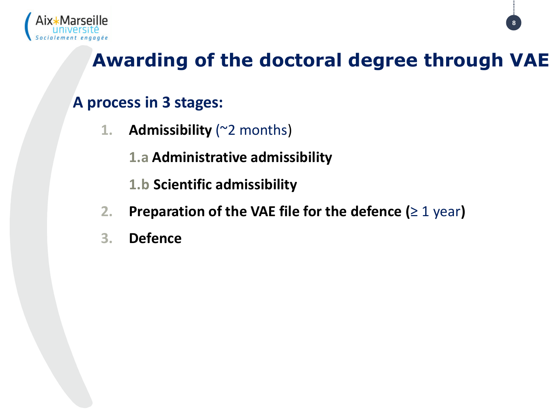

### **Awarding of the doctoral degree through VAE**

**8**

### **A process in 3 stages:**

- **1. Admissibility** (~2 months)
	- **1.a Administrative admissibility**
	- **1.b Scientific admissibility**
- **2. Preparation of the VAE file for the defence (**≥ 1 year**)**
- **3. Defence**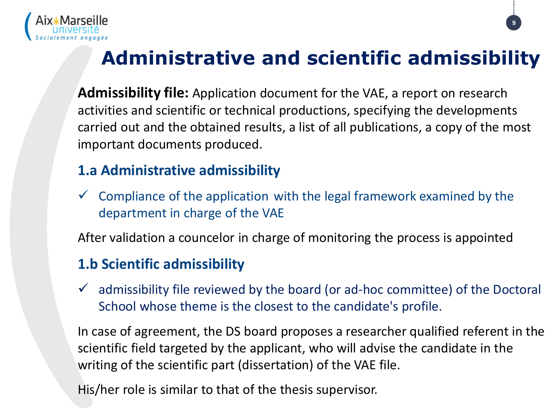

# **Administrative and scientific admissibility**

**9**

**Admissibility file:** Application document for the VAE, a report on research activities and scientific or technical productions, specifying the developments carried out and the obtained results, a list of all publications, a copy of the most important documents produced.

#### **1.a Administrative admissibility**

 $\checkmark$  Compliance of the application with the legal framework examined by the department in charge of the VAE

After validation a councelor in charge of monitoring the process is appointed

#### **1.b Scientific admissibility**

 $\checkmark$  admissibility file reviewed by the board (or ad-hoc committee) of the Doctoral School whose theme is the closest to the candidate's profile.

In case of agreement, the DS board proposes a researcher qualified referent in the scientific field targeted by the applicant, who will advise the candidate in the writing of the scientific part (dissertation) of the VAE file.

His/her role is similar to that of the thesis supervisor.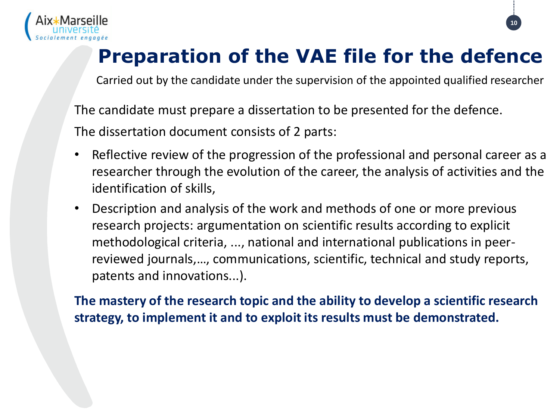

## **Preparation of the VAE file for the defence**

**10**

Carried out by the candidate under the supervision of the appointed qualified researcher

The candidate must prepare a dissertation to be presented for the defence.

The dissertation document consists of 2 parts:

- Reflective review of the progression of the professional and personal career as a researcher through the evolution of the career, the analysis of activities and the identification of skills,
- Description and analysis of the work and methods of one or more previous research projects: argumentation on scientific results according to explicit methodological criteria, ..., national and international publications in peerreviewed journals,…, communications, scientific, technical and study reports, patents and innovations...).

**The mastery of the research topic and the ability to develop a scientific research strategy, to implement it and to exploit its results must be demonstrated.**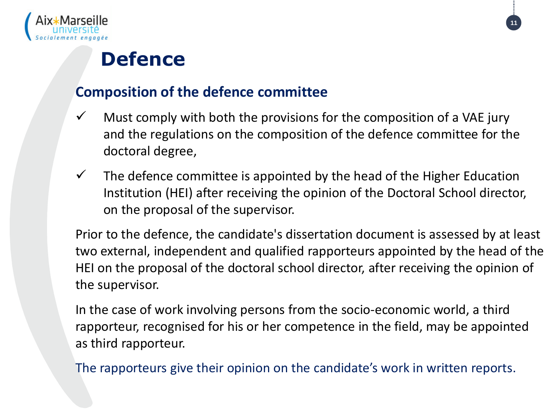

### **Defence**

#### **Composition of the defence committee**

- $\checkmark$  Must comply with both the provisions for the composition of a VAE jury and the regulations on the composition of the defence committee for the doctoral degree,
- $\checkmark$  The defence committee is appointed by the head of the Higher Education Institution (HEI) after receiving the opinion of the Doctoral School director, on the proposal of the supervisor.

Prior to the defence, the candidate's dissertation document is assessed by at least two external, independent and qualified rapporteurs appointed by the head of the HEI on the proposal of the doctoral school director, after receiving the opinion of the supervisor.

In the case of work involving persons from the socio-economic world, a third rapporteur, recognised for his or her competence in the field, may be appointed as third rapporteur.

The rapporteurs give their opinion on the candidate's work in written reports.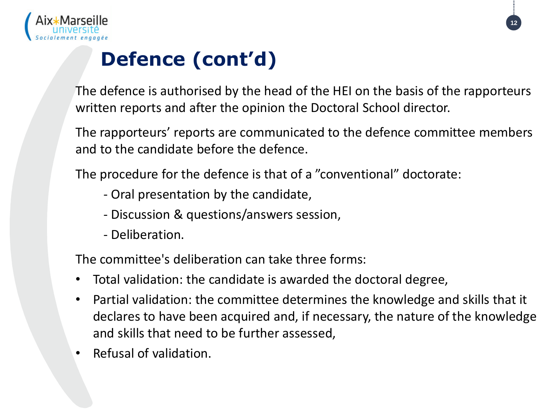

# **Defence (cont'd)**

The defence is authorised by the head of the HEI on the basis of the rapporteurs written reports and after the opinion the Doctoral School director.

The rapporteurs' reports are communicated to the defence committee members and to the candidate before the defence.

The procedure for the defence is that of a "conventional" doctorate:

- Oral presentation by the candidate,
- Discussion & questions/answers session,
- Deliberation.

The committee's deliberation can take three forms:

- Total validation: the candidate is awarded the doctoral degree,
- Partial validation: the committee determines the knowledge and skills that it declares to have been acquired and, if necessary, the nature of the knowledge and skills that need to be further assessed,
- Refusal of validation.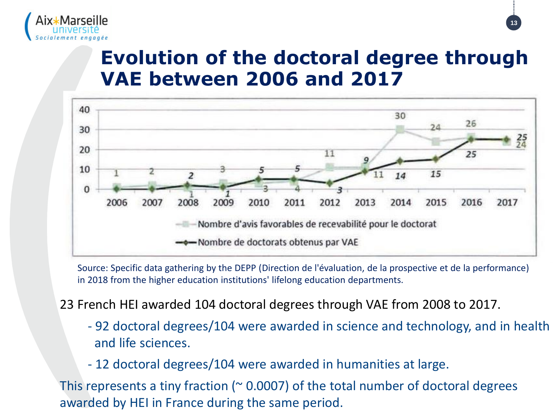

### **Evolution of the doctoral degree through VAE between 2006 and 2017**



Source: Specific data gathering by the DEPP (Direction de l'évaluation, de la prospective et de la performance) in 2018 from the higher education institutions' lifelong education departments.

#### 23 French HEI awarded 104 doctoral degrees through VAE from 2008 to 2017.

- 92 doctoral degrees/104 were awarded in science and technology, and in health and life sciences.
- 12 doctoral degrees/104 were awarded in humanities at large.

This represents a tiny fraction ( $\approx$  0.0007) of the total number of doctoral degrees awarded by HEI in France during the same period.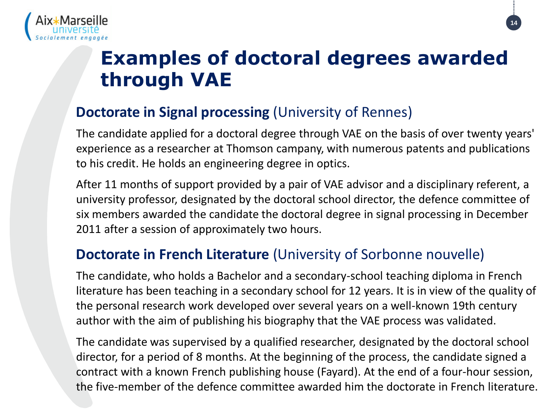

### **Examples of doctoral degrees awarded through VAE**

**14**

#### **Doctorate in Signal processing** (University of Rennes)

The candidate applied for a doctoral degree through VAE on the basis of over twenty years' experience as a researcher at Thomson campany, with numerous patents and publications to his credit. He holds an engineering degree in optics.

After 11 months of support provided by a pair of VAE advisor and a disciplinary referent, a university professor, designated by the doctoral school director, the defence committee of six members awarded the candidate the doctoral degree in signal processing in December 2011 after a session of approximately two hours.

#### **Doctorate in French Literature** (University of Sorbonne nouvelle)

The candidate, who holds a Bachelor and a secondary-school teaching diploma in French literature has been teaching in a secondary school for 12 years. It is in view of the quality of the personal research work developed over several years on a well-known 19th century author with the aim of publishing his biography that the VAE process was validated.

The candidate was supervised by a qualified researcher, designated by the doctoral school director, for a period of 8 months. At the beginning of the process, the candidate signed a contract with a known French publishing house (Fayard). At the end of a four-hour session, the five-member of the defence committee awarded him the doctorate in French literature.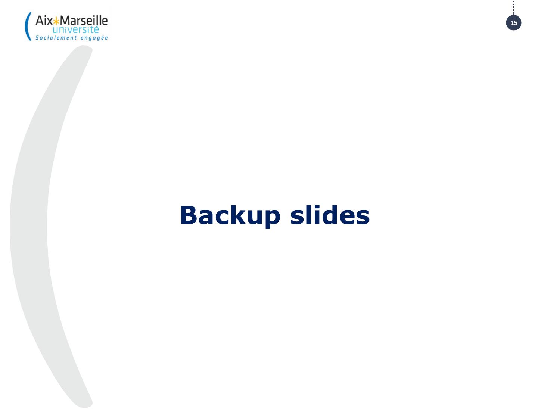

# **Backup slides**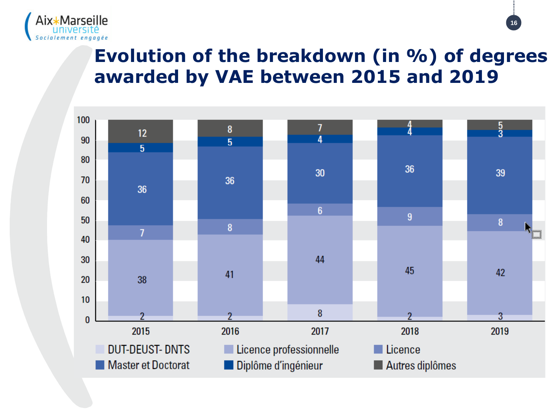

### **Evolution of the breakdown (in %) of degrees awarded by VAE between 2015 and 2019**